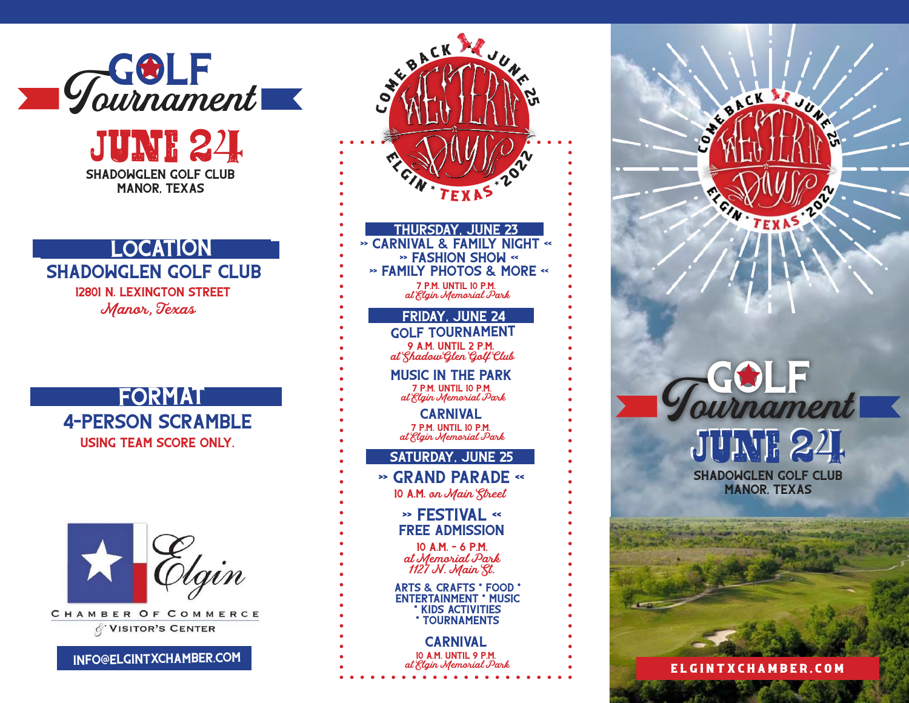

SHADOWGLEN GOLF CLUB Manor, Texas *June 25 June 24*

## **LOCATION**

SHADOWGLEN GOLF CLUB 12801 N. Lexington Street *Manor, Texas*

**FORMAT** 4-Person scramble Using team score only.



CHAMBER OF COMMERCE **VISITOR'S CENTER** 

info@elgintxchamber.com



Tournament **GOLF** SHADOWGLEN GOLF CLUB Manor, Texas *June 24*

BACK SEJU

e l g i n t x c h a m b e r . c o m